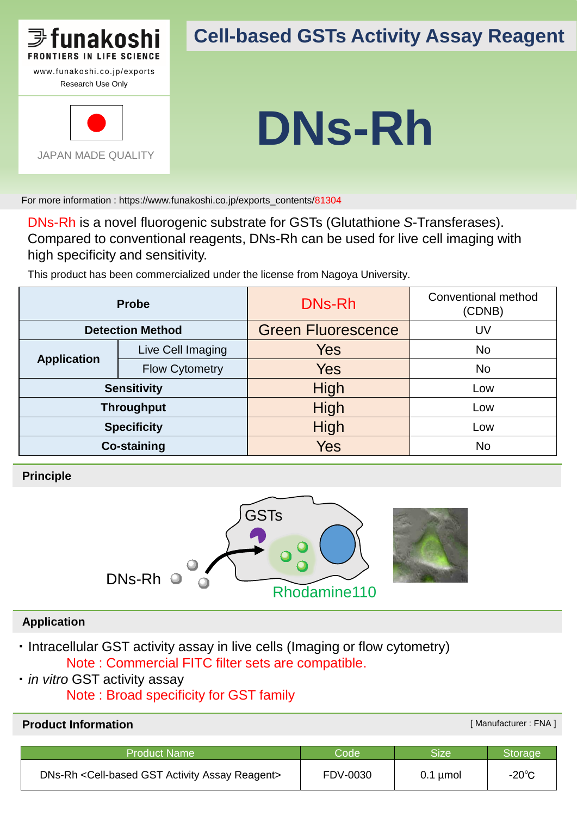

JAPAN MADE QUALITY

## **Cell-based GSTs Activity Assay Reagent**

# **DNs-Rh**

For more information : https://www.funakoshi.co.jp/exports\_contents/81304

DNs-Rh is a novel fluorogenic substrate for GSTs (Glutathione *S*-Transferases). Compared to conventional reagents, DNs-Rh can be used for live cell imaging with high specificity and sensitivity.

This product has been commercialized under the license from Nagoya University.

| <b>Probe</b>            |                       | DNs-Rh                    | Conventional method<br>(CDNB) |
|-------------------------|-----------------------|---------------------------|-------------------------------|
| <b>Detection Method</b> |                       | <b>Green Fluorescence</b> | UV                            |
| <b>Application</b>      | Live Cell Imaging     | <b>Yes</b>                | <b>No</b>                     |
|                         | <b>Flow Cytometry</b> | <b>Yes</b>                | <b>No</b>                     |
| <b>Sensitivity</b>      |                       | High                      | Low                           |
| <b>Throughput</b>       |                       | High                      | Low                           |
| <b>Specificity</b>      |                       | High                      | Low                           |
| <b>Co-staining</b>      |                       | Yes                       | <b>No</b>                     |

**Principle**



#### **Application**

- ・ Intracellular GST activity assay in live cells (Imaging or flow cytometry) Note : Commercial FITC filter sets are compatible.
- ・ *in vitro* GST activity assay
	- Note : Broad specificity for GST family

#### **Product Information Example 2018 Construction Example 2019 Construction Example 2019 [Manufacturer : FNA ]**

| <b>Product Name</b>                             | $\mathsf{Code}^{\dagger}$ | Sizel         | Storage         |
|-------------------------------------------------|---------------------------|---------------|-----------------|
| DNs-Rh < Cell-based GST Activity Assay Reagent> | FDV-0030                  | $0.1 \mu$ mol | $-20^{\circ}$ C |